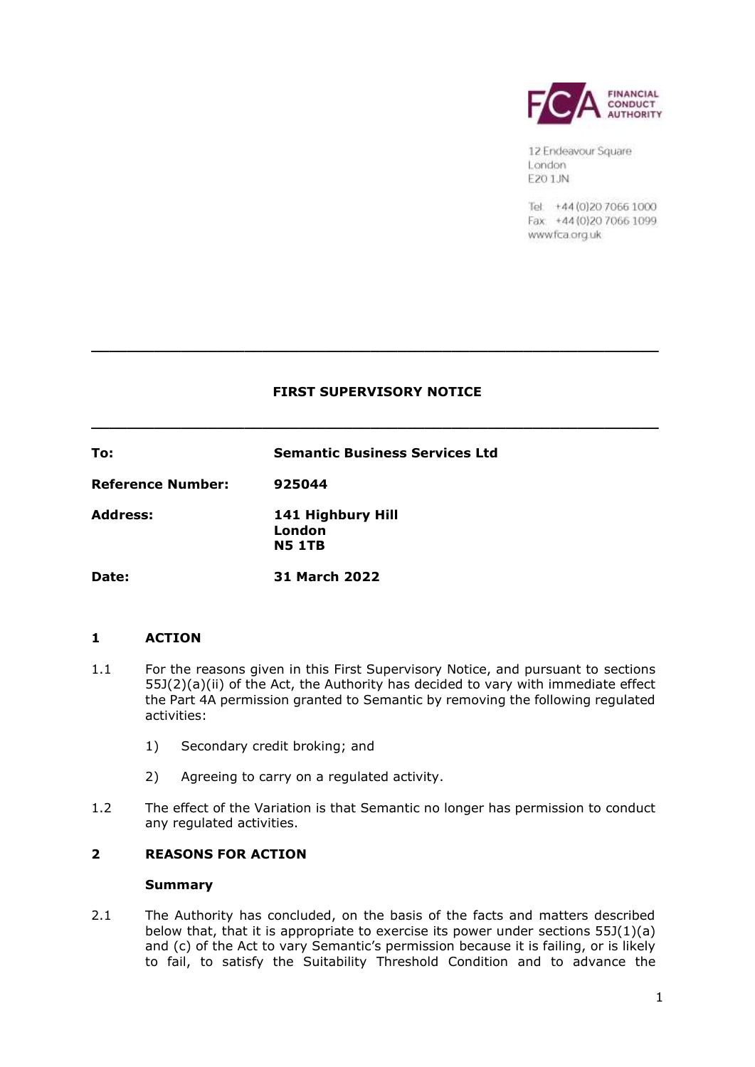

12 Endeavour Square London F201.IN

Tel: +44 (0) 20 7066 1000 Fax: +44 (0) 20 70 66 1099 wwwfca.org.uk

## **FIRST SUPERVISORY NOTICE**

**\_\_\_\_\_\_\_\_\_\_\_\_\_\_\_\_\_\_\_\_\_\_\_\_\_\_\_\_\_\_\_\_\_\_\_\_\_\_\_\_\_\_\_\_\_\_\_\_\_\_\_\_\_\_\_\_\_\_\_\_\_\_\_** 

**\_\_\_\_\_\_\_\_\_\_\_\_\_\_\_\_\_\_\_\_\_\_\_\_\_\_\_\_\_\_\_\_\_\_\_\_\_\_\_\_\_\_\_\_\_\_\_\_\_\_\_\_\_\_\_\_\_\_\_\_\_\_\_** 

**To: Semantic Business Services Ltd Reference Number: 925044 Address: 141 Highbury Hill London N5 1TB Date: 31 March 2022** 

# **1 ACTION**

- 1.1 For the reasons given in this First Supervisory Notice, and pursuant to sections the Part 4A permission granted to Semantic by removing the following regulated 55J(2)(a)(ii) of the Act, the Authority has decided to vary with immediate effect activities:
	- 1) Secondary credit broking; and
	- 2) Agreeing to carry on a regulated activity.
- 1.2 The effect of the Variation is that Semantic no longer has permission to conduct any regulated activities.

# **2 REASONS FOR ACTION**

### **Summary**

 2.1 The Authority has concluded, on the basis of the facts and matters described below that, that it is appropriate to exercise its power under sections 55J(1)(a) to fail, to satisfy the Suitability Threshold Condition and to advance the and (c) of the Act to vary Semantic's permission because it is failing, or is likely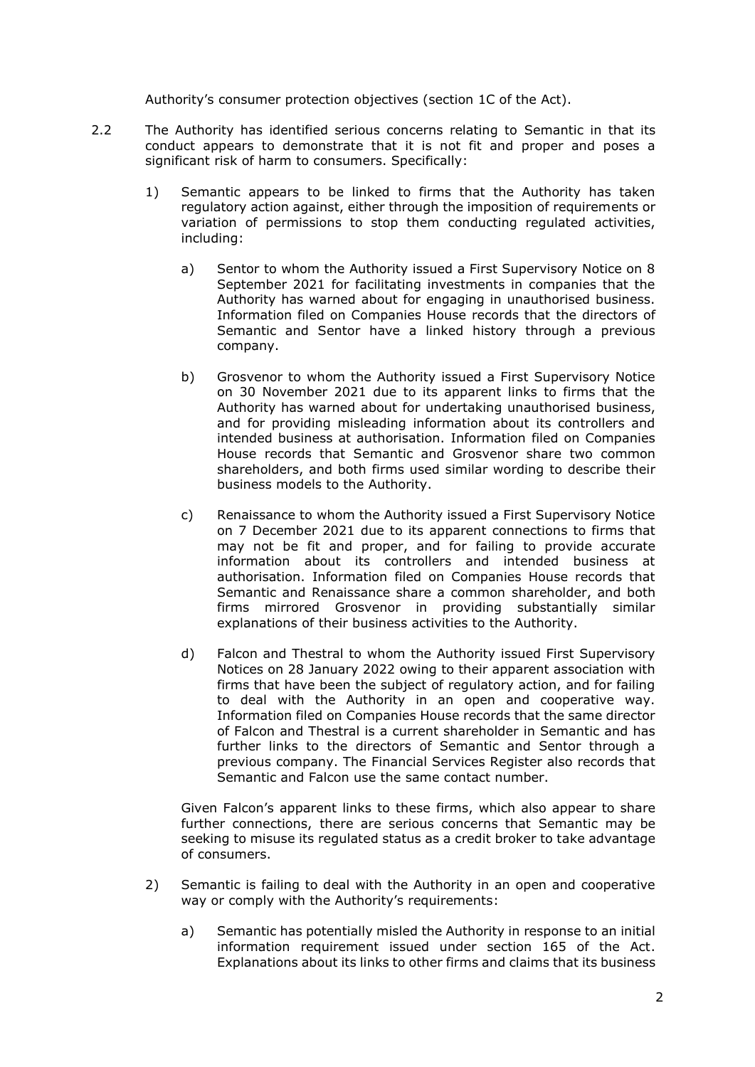Authority's consumer protection objectives (section 1C of the Act).

- 2.2 The Authority has identified serious concerns relating to Semantic in that its conduct appears to demonstrate that it is not fit and proper and poses a significant risk of harm to consumers. Specifically:
	- 1) Semantic appears to be linked to firms that the Authority has taken regulatory action against, either through the imposition of requirements or variation of permissions to stop them conducting regulated activities, including:
		- a) Sentor to whom the Authority issued a First Supervisory Notice on 8 September 2021 for facilitating investments in companies that the Authority has warned about for engaging in unauthorised business. Information filed on Companies House records that the directors of Semantic and Sentor have a linked history through a previous company.
		- b) Grosvenor to whom the Authority issued a First Supervisory Notice on 30 November 2021 due to its apparent links to firms that the Authority has warned about for undertaking unauthorised business, and for providing misleading information about its controllers and intended business at authorisation. Information filed on Companies House records that Semantic and Grosvenor share two common shareholders, and both firms used similar wording to describe their business models to the Authority.
		- c) Renaissance to whom the Authority issued a First Supervisory Notice on 7 December 2021 due to its apparent connections to firms that may not be fit and proper, and for failing to provide accurate information about its controllers and intended business at authorisation. Information filed on Companies House records that Semantic and Renaissance share a common shareholder, and both firms mirrored Grosvenor in providing substantially similar explanations of their business activities to the Authority.
		- d) Falcon and Thestral to whom the Authority issued First Supervisory firms that have been the subject of regulatory action, and for failing to deal with the Authority in an open and cooperative way. Information filed on Companies House records that the same director of Falcon and Thestral is a current shareholder in Semantic and has further links to the directors of Semantic and Sentor through a previous company. The Financial Services Register also records that Notices on 28 January 2022 owing to their apparent association with Semantic and Falcon use the same contact number.

 Given Falcon's apparent links to these firms, which also appear to share further connections, there are serious concerns that Semantic may be seeking to misuse its regulated status as a credit broker to take advantage of consumers.

- 2) Semantic is failing to deal with the Authority in an open and cooperative way or comply with the Authority's requirements:
	- a) Semantic has potentially misled the Authority in response to an initial information requirement issued under section 165 of the Act. Explanations about its links to other firms and claims that its business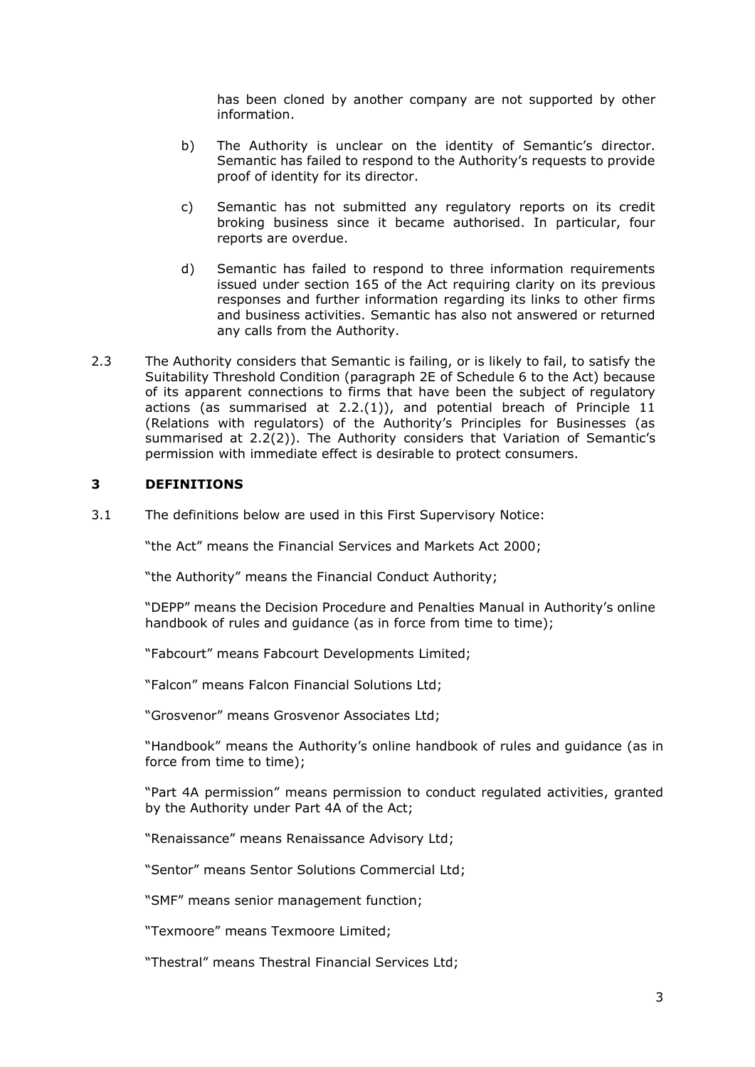has been cloned by another company are not supported by other information.

- b) The Authority is unclear on the identity of Semantic's director. Semantic has failed to respond to the Authority's requests to provide proof of identity for its director.
- c) Semantic has not submitted any regulatory reports on its credit broking business since it became authorised. In particular, four reports are overdue.
- d) Semantic has failed to respond to three information requirements issued under section 165 of the Act requiring clarity on its previous responses and further information regarding its links to other firms and business activities. Semantic has also not answered or returned any calls from the Authority.
- Suitability Threshold Condition (paragraph 2E of Schedule 6 to the Act) because of its apparent connections to firms that have been the subject of regulatory actions (as summarised at 2.2.(1)), and potential breach of Principle 11 (Relations with regulators) of the Authority's Principles for Businesses (as summarised at 2.2(2)). The Authority considers that Variation of Semantic's 2.3 The Authority considers that Semantic is failing, or is likely to fail, to satisfy the permission with immediate effect is desirable to protect consumers.

## **3 DEFINITIONS**

3.1 The definitions below are used in this First Supervisory Notice:

"the Act" means the Financial Services and Markets Act 2000;

"the Authority" means the Financial Conduct Authority;

 "DEPP" means the Decision Procedure and Penalties Manual in Authority's online handbook of rules and guidance (as in force from time to time);

"Fabcourt" means Fabcourt Developments Limited;

"Falcon" means Falcon Financial Solutions Ltd;

"Grosvenor" means Grosvenor Associates Ltd;

 "Handbook" means the Authority's online handbook of rules and guidance (as in force from time to time);

 "Part 4A permission" means permission to conduct regulated activities, granted by the Authority under Part 4A of the Act;

"Renaissance" means Renaissance Advisory Ltd;

"Sentor" means Sentor Solutions Commercial Ltd;

"SMF" means senior management function;

"Texmoore" means Texmoore Limited;

"Thestral" means Thestral Financial Services Ltd;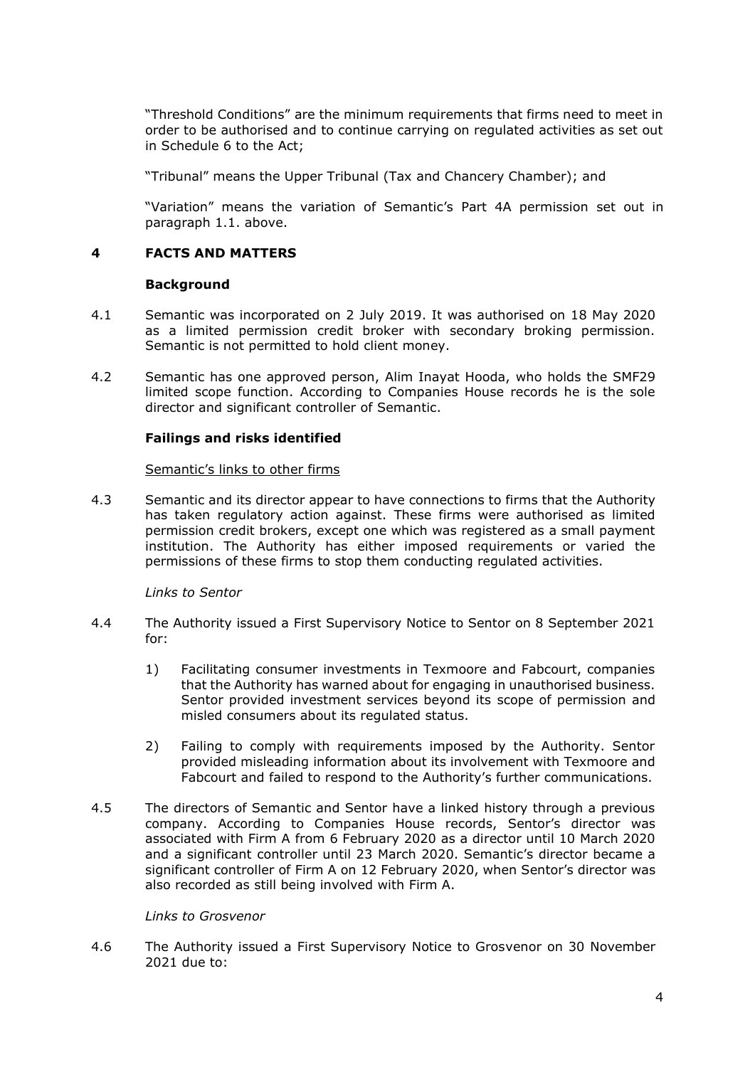"Threshold Conditions" are the minimum requirements that firms need to meet in order to be authorised and to continue carrying on regulated activities as set out in Schedule 6 to the Act;

"Tribunal" means the Upper Tribunal (Tax and Chancery Chamber); and

 "Variation" means the variation of Semantic's Part 4A permission set out in paragraph 1.1. above.

## **4 FACTS AND MATTERS**

### **Background**

- 4.1 Semantic was incorporated on 2 July 2019. It was authorised on 18 May 2020 as a limited permission credit broker with secondary broking permission. Semantic is not permitted to hold client money.
- 4.2 Semantic has one approved person, Alim Inayat Hooda, who holds the SMF29 limited scope function. According to Companies House records he is the sole director and significant controller of Semantic.

### **Failings and risks identified**

#### Semantic's links to other firms

 4.3 Semantic and its director appear to have connections to firms that the Authority has taken regulatory action against. These firms were authorised as limited permission credit brokers, except one which was registered as a small payment institution. The Authority has either imposed requirements or varied the permissions of these firms to stop them conducting regulated activities.

### *Links to Sentor*

- 4.4 The Authority issued a First Supervisory Notice to Sentor on 8 September 2021 for:
	- 1) Facilitating consumer investments in Texmoore and Fabcourt, companies that the Authority has warned about for engaging in unauthorised business. Sentor provided investment services beyond its scope of permission and misled consumers about its regulated status.
	- 2) Failing to comply with requirements imposed by the Authority. Sentor provided misleading information about its involvement with Texmoore and Fabcourt and failed to respond to the Authority's further communications.
- 4.5 The directors of Semantic and Sentor have a linked history through a previous company. According to Companies House records, Sentor's director was associated with Firm A from 6 February 2020 as a director until 10 March 2020 and a significant controller until 23 March 2020. Semantic's director became a significant controller of Firm A on 12 February 2020, when Sentor's director was also recorded as still being involved with Firm A.

### *Links to Grosvenor*

 4.6 The Authority issued a First Supervisory Notice to Grosvenor on 30 November 2021 due to: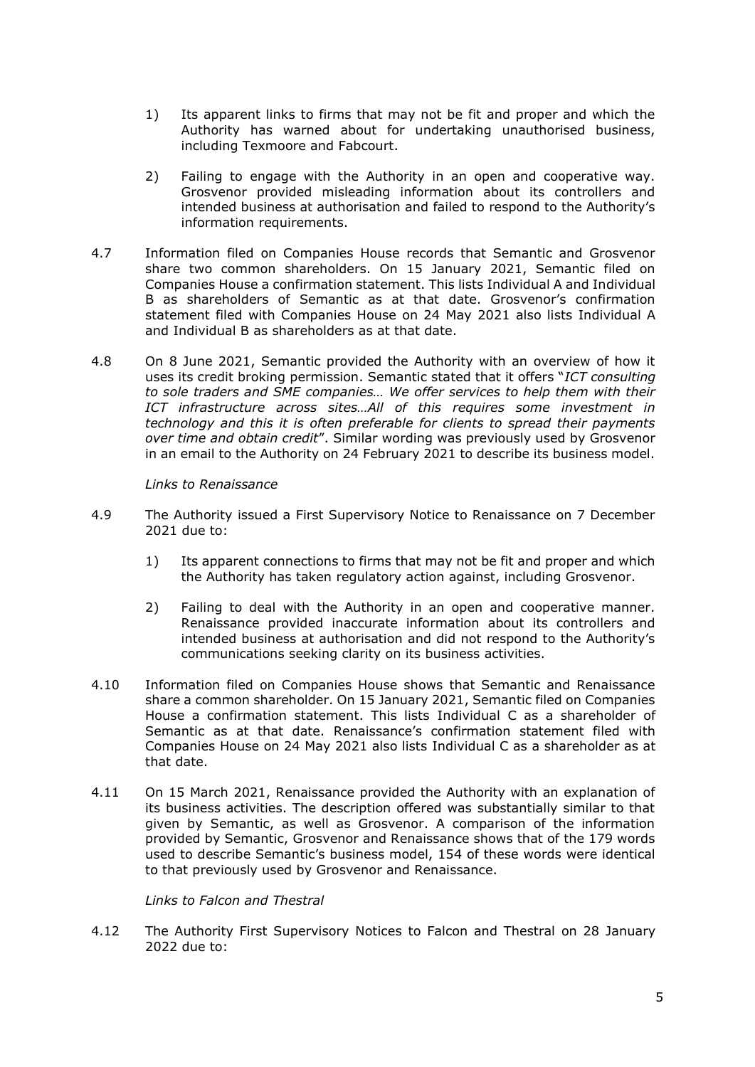- 1) Its apparent links to firms that may not be fit and proper and which the Authority has warned about for undertaking unauthorised business, including Texmoore and Fabcourt.
- 2) Failing to engage with the Authority in an open and cooperative way. Grosvenor provided misleading information about its controllers and intended business at authorisation and failed to respond to the Authority's information requirements.
- 4.7 Information filed on Companies House records that Semantic and Grosvenor share two common shareholders. On 15 January 2021, Semantic filed on Companies House a confirmation statement. This lists Individual A and Individual B as shareholders of Semantic as at that date. Grosvenor's confirmation statement filed with Companies House on 24 May 2021 also lists Individual A and Individual B as shareholders as at that date.
- 4.8 On 8 June 2021, Semantic provided the Authority with an overview of how it uses its credit broking permission. Semantic stated that it offers "*ICT consulting to sole traders and SME companies… We offer services to help them with their ICT infrastructure across sites…All of this requires some investment in technology and this it is often preferable for clients to spread their payments over time and obtain credit*". Similar wording was previously used by Grosvenor in an email to the Authority on 24 February 2021 to describe its business model.

*Links to Renaissance* 

- 4.9 The Authority issued a First Supervisory Notice to Renaissance on 7 December 2021 due to:
	- 1) Its apparent connections to firms that may not be fit and proper and which the Authority has taken regulatory action against, including Grosvenor.
	- 2) Failing to deal with the Authority in an open and cooperative manner. Renaissance provided inaccurate information about its controllers and intended business at authorisation and did not respond to the Authority's communications seeking clarity on its business activities.
- 4.10 Information filed on Companies House shows that Semantic and Renaissance share a common shareholder. On 15 January 2021, Semantic filed on Companies Semantic as at that date. Renaissance's confirmation statement filed with Companies House on 24 May 2021 also lists Individual C as a shareholder as at House a confirmation statement. This lists Individual C as a shareholder of that date.
- 4.11 On 15 March 2021, Renaissance provided the Authority with an explanation of its business activities. The description offered was substantially similar to that given by Semantic, as well as Grosvenor. A comparison of the information provided by Semantic, Grosvenor and Renaissance shows that of the 179 words used to describe Semantic's business model, 154 of these words were identical to that previously used by Grosvenor and Renaissance.

*Links to Falcon and Thestral* 

 4.12 The Authority First Supervisory Notices to Falcon and Thestral on 28 January 2022 due to: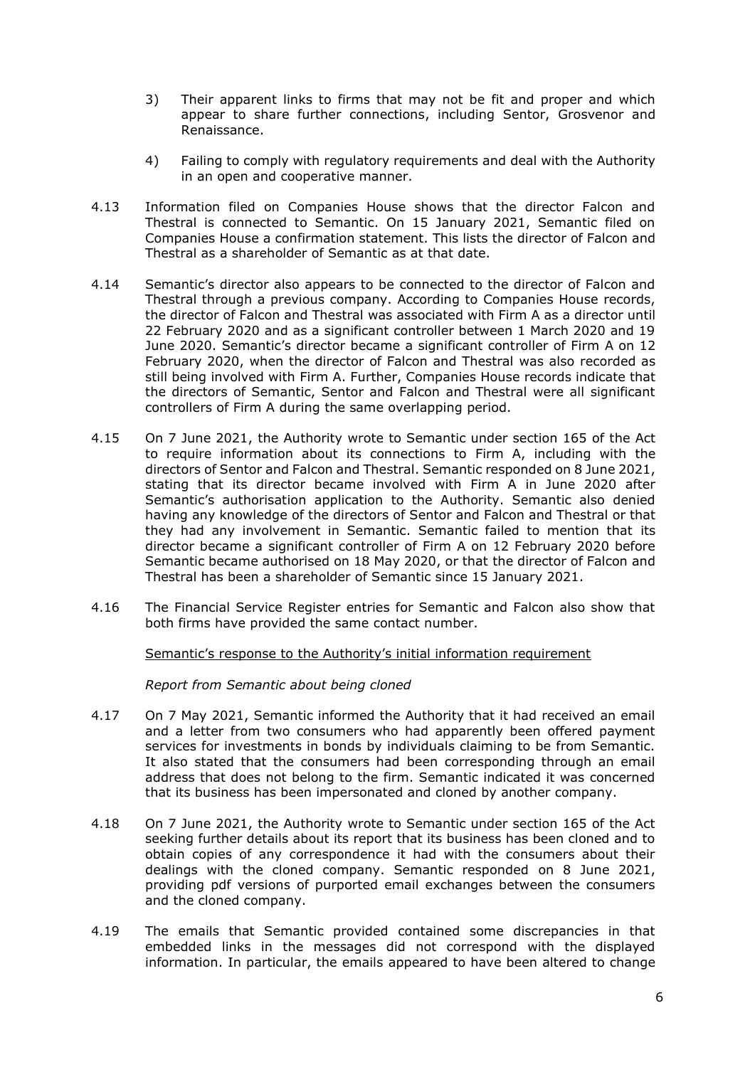- 3) Their apparent links to firms that may not be fit and proper and which appear to share further connections, including Sentor, Grosvenor and Renaissance.
- 4) Failing to comply with regulatory requirements and deal with the Authority in an open and cooperative manner.
- 4.13 Information filed on Companies House shows that the director Falcon and Thestral is connected to Semantic. On 15 January 2021, Semantic filed on Companies House a confirmation statement. This lists the director of Falcon and Thestral as a shareholder of Semantic as at that date.
- 4.14 Semantic's director also appears to be connected to the director of Falcon and Thestral through a previous company. According to Companies House records, the director of Falcon and Thestral was associated with Firm A as a director until 22 February 2020 and as a significant controller between 1 March 2020 and 19 June 2020. Semantic's director became a significant controller of Firm A on 12 February 2020, when the director of Falcon and Thestral was also recorded as the directors of Semantic, Sentor and Falcon and Thestral were all significant still being involved with Firm A. Further, Companies House records indicate that controllers of Firm A during the same overlapping period.
- 4.15 On 7 June 2021, the Authority wrote to Semantic under section 165 of the Act to require information about its connections to Firm A, including with the directors of Sentor and Falcon and Thestral. Semantic responded on 8 June 2021, stating that its director became involved with Firm A in June 2020 after Semantic's authorisation application to the Authority. Semantic also denied having any knowledge of the directors of Sentor and Falcon and Thestral or that they had any involvement in Semantic. Semantic failed to mention that its director became a significant controller of Firm A on 12 February 2020 before Semantic became authorised on 18 May 2020, or that the director of Falcon and Thestral has been a shareholder of Semantic since 15 January 2021.
- 4.16 The Financial Service Register entries for Semantic and Falcon also show that both firms have provided the same contact number.

Semantic's response to the Authority's initial information requirement

*Report from Semantic about being cloned* 

- 4.17 On 7 May 2021, Semantic informed the Authority that it had received an email and a letter from two consumers who had apparently been offered payment services for investments in bonds by individuals claiming to be from Semantic. It also stated that the consumers had been corresponding through an email address that does not belong to the firm. Semantic indicated it was concerned that its business has been impersonated and cloned by another company.
- 4.18 On 7 June 2021, the Authority wrote to Semantic under section 165 of the Act seeking further details about its report that its business has been cloned and to obtain copies of any correspondence it had with the consumers about their dealings with the cloned company. Semantic responded on 8 June 2021, providing pdf versions of purported email exchanges between the consumers and the cloned company.
- 4.19 The emails that Semantic provided contained some discrepancies in that embedded links in the messages did not correspond with the displayed information. In particular, the emails appeared to have been altered to change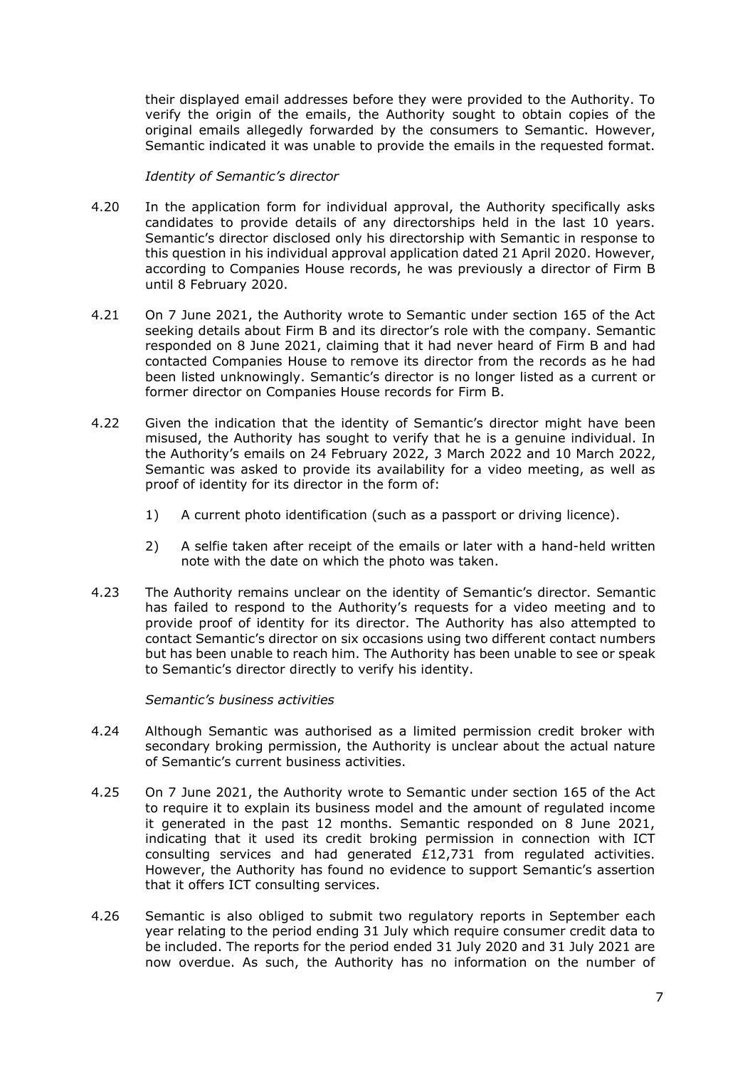their displayed email addresses before they were provided to the Authority. To verify the origin of the emails, the Authority sought to obtain copies of the original emails allegedly forwarded by the consumers to Semantic. However, Semantic indicated it was unable to provide the emails in the requested format.

#### *Identity of Semantic's director*

- 4.20 In the application form for individual approval, the Authority specifically asks candidates to provide details of any directorships held in the last 10 years. Semantic's director disclosed only his directorship with Semantic in response to this question in his individual approval application dated 21 April 2020. However, according to Companies House records, he was previously a director of Firm B until 8 February 2020.
- 4.21 On 7 June 2021, the Authority wrote to Semantic under section 165 of the Act seeking details about Firm B and its director's role with the company. Semantic responded on 8 June 2021, claiming that it had never heard of Firm B and had contacted Companies House to remove its director from the records as he had been listed unknowingly. Semantic's director is no longer listed as a current or former director on Companies House records for Firm B.
- 4.22 Given the indication that the identity of Semantic's director might have been misused, the Authority has sought to verify that he is a genuine individual. In the Authority's emails on 24 February 2022, 3 March 2022 and 10 March 2022, Semantic was asked to provide its availability for a video meeting, as well as proof of identity for its director in the form of:
	- 1) A current photo identification (such as a passport or driving licence).
	- 2) A selfie taken after receipt of the emails or later with a hand-held written note with the date on which the photo was taken.
- 4.23 The Authority remains unclear on the identity of Semantic's director. Semantic has failed to respond to the Authority's requests for a video meeting and to contact Semantic's director on six occasions using two different contact numbers but has been unable to reach him. The Authority has been unable to see or speak provide proof of identity for its director. The Authority has also attempted to to Semantic's director directly to verify his identity.

#### *Semantic's business activities*

- 4.24 Although Semantic was authorised as a limited permission credit broker with secondary broking permission, the Authority is unclear about the actual nature of Semantic's current business activities.
- 4.25 On 7 June 2021, the Authority wrote to Semantic under section 165 of the Act to require it to explain its business model and the amount of regulated income it generated in the past 12 months. Semantic responded on 8 June 2021, indicating that it used its credit broking permission in connection with ICT consulting services and had generated £12,731 from regulated activities. However, the Authority has found no evidence to support Semantic's assertion that it offers ICT consulting services.
- 4.26 Semantic is also obliged to submit two regulatory reports in September each year relating to the period ending 31 July which require consumer credit data to be included. The reports for the period ended 31 July 2020 and 31 July 2021 are now overdue. As such, the Authority has no information on the number of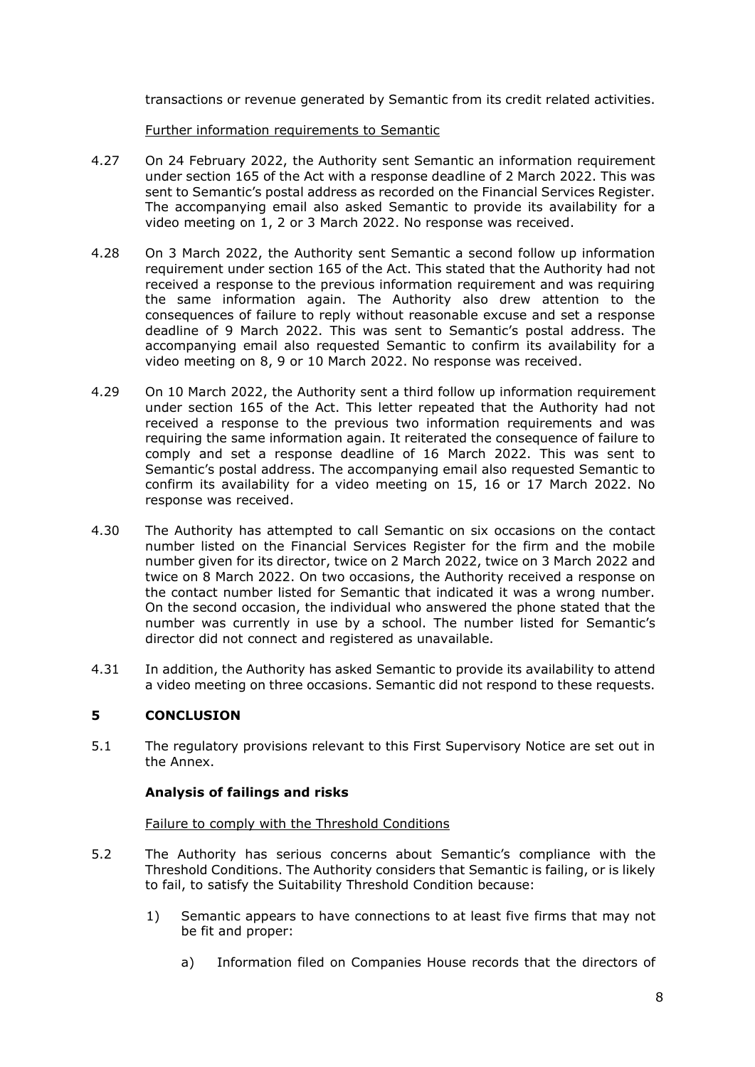transactions or revenue generated by Semantic from its credit related activities.

Further information requirements to Semantic

- 4.27 On 24 February 2022, the Authority sent Semantic an information requirement under section 165 of the Act with a response deadline of 2 March 2022. This was sent to Semantic's postal address as recorded on the Financial Services Register. The accompanying email also asked Semantic to provide its availability for a video meeting on 1, 2 or 3 March 2022. No response was received.
- 4.28 On 3 March 2022, the Authority sent Semantic a second follow up information requirement under section 165 of the Act. This stated that the Authority had not received a response to the previous information requirement and was requiring the same information again. The Authority also drew attention to the consequences of failure to reply without reasonable excuse and set a response accompanying email also requested Semantic to confirm its availability for a deadline of 9 March 2022. This was sent to Semantic's postal address. The video meeting on 8, 9 or 10 March 2022. No response was received.
- 4.29 On 10 March 2022, the Authority sent a third follow up information requirement under section 165 of the Act. This letter repeated that the Authority had not received a response to the previous two information requirements and was requiring the same information again. It reiterated the consequence of failure to comply and set a response deadline of 16 March 2022. This was sent to Semantic's postal address. The accompanying email also requested Semantic to confirm its availability for a video meeting on 15, 16 or 17 March 2022. No response was received.
- 4.30 The Authority has attempted to call Semantic on six occasions on the contact number listed on the Financial Services Register for the firm and the mobile number given for its director, twice on 2 March 2022, twice on 3 March 2022 and the contact number listed for Semantic that indicated it was a wrong number. number was currently in use by a school. The number listed for Semantic's twice on 8 March 2022. On two occasions, the Authority received a response on On the second occasion, the individual who answered the phone stated that the director did not connect and registered as unavailable.
- 4.31 In addition, the Authority has asked Semantic to provide its availability to attend a video meeting on three occasions. Semantic did not respond to these requests.

# **5 CONCLUSION**

 5.1 The regulatory provisions relevant to this First Supervisory Notice are set out in the Annex.

# **Analysis of failings and risks**

### Failure to comply with the Threshold Conditions

- 5.2 The Authority has serious concerns about Semantic's compliance with the Threshold Conditions. The Authority considers that Semantic is failing, or is likely to fail, to satisfy the Suitability Threshold Condition because:
	- 1) Semantic appears to have connections to at least five firms that may not be fit and proper:
		- a) Information filed on Companies House records that the directors of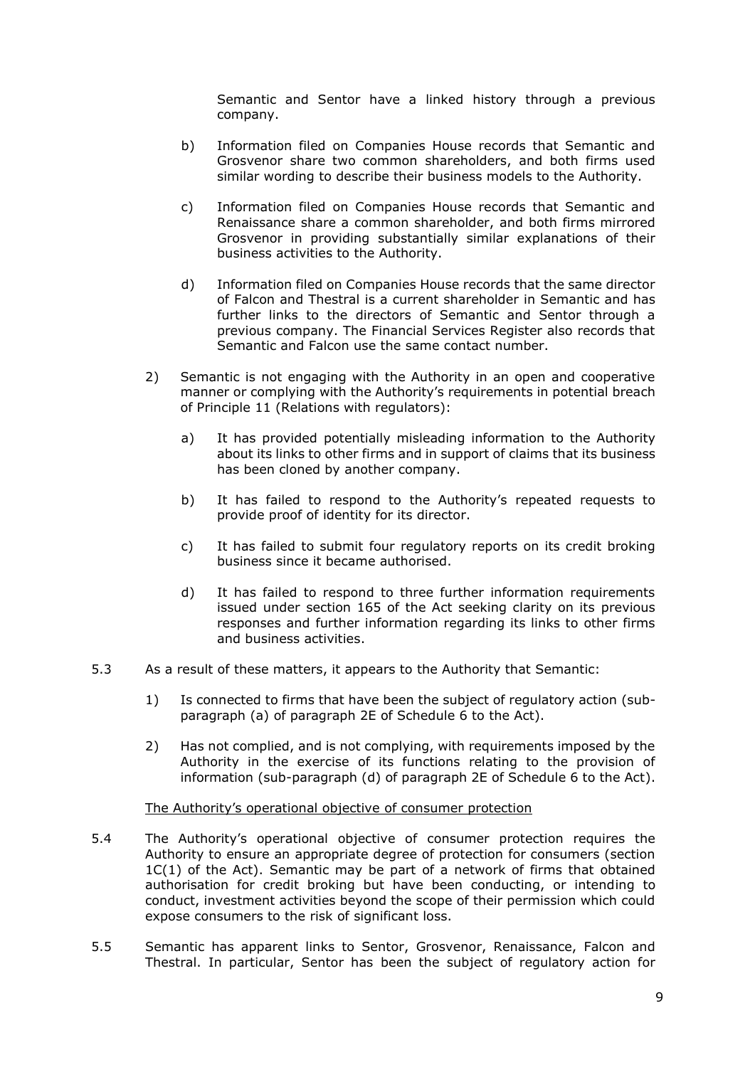Semantic and Sentor have a linked history through a previous company.

- b) Information filed on Companies House records that Semantic and Grosvenor share two common shareholders, and both firms used similar wording to describe their business models to the Authority.
- c) Information filed on Companies House records that Semantic and Renaissance share a common shareholder, and both firms mirrored Grosvenor in providing substantially similar explanations of their business activities to the Authority.
- d) Information filed on Companies House records that the same director of Falcon and Thestral is a current shareholder in Semantic and has further links to the directors of Semantic and Sentor through a previous company. The Financial Services Register also records that Semantic and Falcon use the same contact number.
- 2) Semantic is not engaging with the Authority in an open and cooperative manner or complying with the Authority's requirements in potential breach of Principle 11 (Relations with regulators):
	- a) It has provided potentially misleading information to the Authority about its links to other firms and in support of claims that its business has been cloned by another company.
	- b) It has failed to respond to the Authority's repeated requests to provide proof of identity for its director.
	- c) It has failed to submit four regulatory reports on its credit broking business since it became authorised.
	- d) It has failed to respond to three further information requirements issued under section 165 of the Act seeking clarity on its previous responses and further information regarding its links to other firms and business activities.
- 5.3 As a result of these matters, it appears to the Authority that Semantic:
	- 1) Is connected to firms that have been the subject of regulatory action (subparagraph (a) of paragraph 2E of Schedule 6 to the Act).
	- 2) Has not complied, and is not complying, with requirements imposed by the Authority in the exercise of its functions relating to the provision of information (sub-paragraph (d) of paragraph 2E of Schedule 6 to the Act).

### The Authority's operational objective of consumer protection

- 5.4 The Authority's operational objective of consumer protection requires the Authority to ensure an appropriate degree of protection for consumers (section 1C(1) of the Act). Semantic may be part of a network of firms that obtained authorisation for credit broking but have been conducting, or intending to expose consumers to the risk of significant loss. conduct, investment activities beyond the scope of their permission which could
- 5.5 Semantic has apparent links to Sentor, Grosvenor, Renaissance, Falcon and Thestral. In particular, Sentor has been the subject of regulatory action for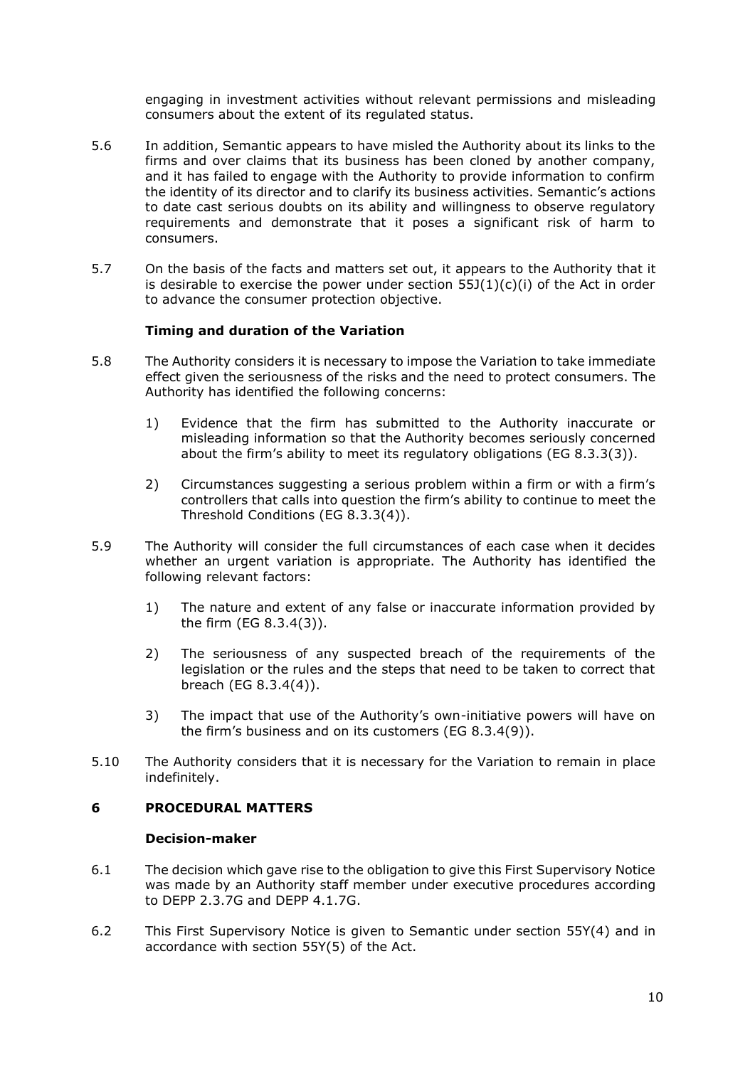engaging in investment activities without relevant permissions and misleading consumers about the extent of its regulated status.

- 5.6 In addition, Semantic appears to have misled the Authority about its links to the firms and over claims that its business has been cloned by another company, and it has failed to engage with the Authority to provide information to confirm to date cast serious doubts on its ability and willingness to observe regulatory requirements and demonstrate that it poses a significant risk of harm to the identity of its director and to clarify its business activities. Semantic's actions consumers.
- 5.7 On the basis of the facts and matters set out, it appears to the Authority that it is desirable to exercise the power under section  $55J(1)(c)(i)$  of the Act in order to advance the consumer protection objective.

## **Timing and duration of the Variation**

- 5.8 The Authority considers it is necessary to impose the Variation to take immediate effect given the seriousness of the risks and the need to protect consumers. The Authority has identified the following concerns:
	- 1) Evidence that the firm has submitted to the Authority inaccurate or misleading information so that the Authority becomes seriously concerned about the firm's ability to meet its regulatory obligations (EG 8.3.3(3)).
	- 2) Circumstances suggesting a serious problem within a firm or with a firm's controllers that calls into question the firm's ability to continue to meet the Threshold Conditions (EG 8.3.3(4)).
- 5.9 The Authority will consider the full circumstances of each case when it decides whether an urgent variation is appropriate. The Authority has identified the following relevant factors:
	- 1) The nature and extent of any false or inaccurate information provided by the firm (EG 8.3.4(3)).
	- 2) The seriousness of any suspected breach of the requirements of the legislation or the rules and the steps that need to be taken to correct that breach (EG 8.3.4(4)).
	- 3) The impact that use of the Authority's own-initiative powers will have on the firm's business and on its customers (EG 8.3.4(9)).
- 5.10 The Authority considers that it is necessary for the Variation to remain in place indefinitely.

### **6 PROCEDURAL MATTERS**

#### **Decision-maker**

- 6.1 The decision which gave rise to the obligation to give this First Supervisory Notice was made by an Authority staff member under executive procedures according to DEPP 2.3.7G and DEPP 4.1.7G.
- 6.2 This First Supervisory Notice is given to Semantic under section 55Y(4) and in accordance with section 55Y(5) of the Act.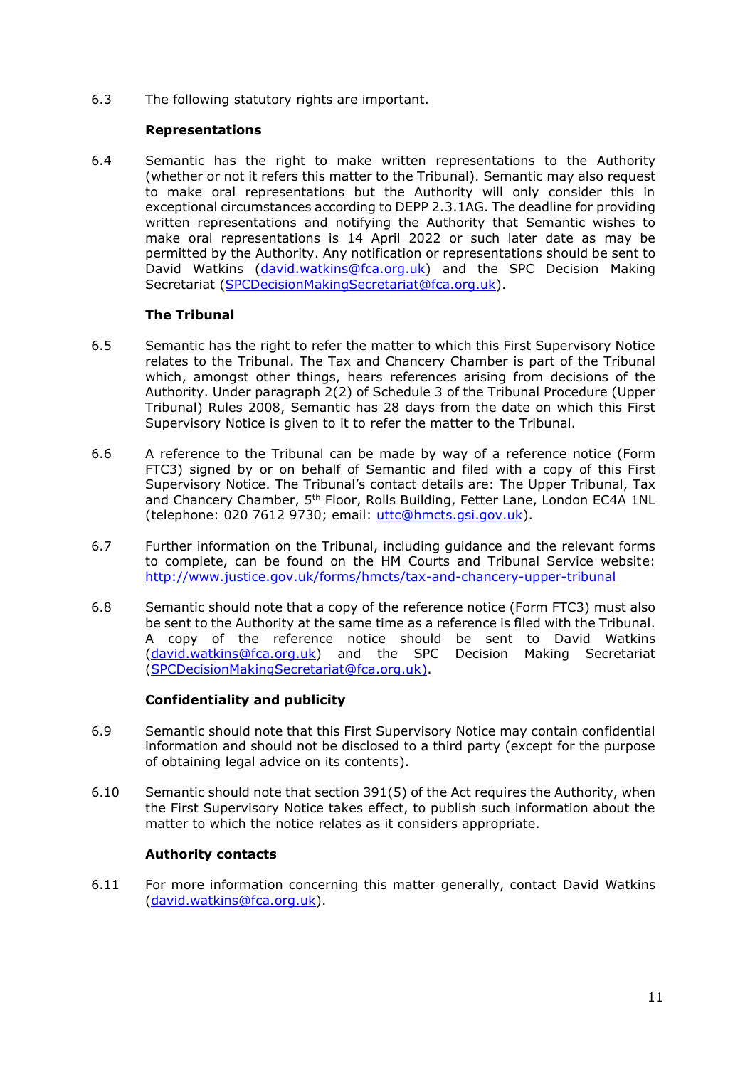6.3 The following statutory rights are important.

## **Representations**

 6.4 Semantic has the right to make written representations to the Authority (whether or not it refers this matter to the Tribunal). Semantic may also request to make oral representations but the Authority will only consider this in exceptional circumstances according to DEPP 2.3.1AG. The deadline for providing written representations and notifying the Authority that Semantic wishes to make oral representations is 14 April 2022 or such later date as may be permitted by the Authority. Any notification or representations should be sent to David Watkins (david.watkins@fca.org.uk) and the SPC Decision Making Secretariat (SPCDecisionMakingSecretariat@fca.org.uk).

## **The Tribunal**

- 6.5 Semantic has the right to refer the matter to which this First Supervisory Notice relates to the Tribunal. The Tax and Chancery Chamber is part of the Tribunal which, amongst other things, hears references arising from decisions of the Authority. Under paragraph 2(2) of Schedule 3 of the Tribunal Procedure (Upper Tribunal) Rules 2008, Semantic has 28 days from the date on which this First Supervisory Notice is given to it to refer the matter to the Tribunal.
- 6.6 A reference to the Tribunal can be made by way of a reference notice (Form FTC3) signed by or on behalf of Semantic and filed with a copy of this First Supervisory Notice. The Tribunal's contact details are: The Upper Tribunal, Tax and Chancery Chamber, 5<sup>th</sup> Floor, Rolls Building, Fetter Lane, London EC4A 1NL (telephone: 020 7612 9730; email: uttc@hmcts.gsi.gov.uk).
- 6.7 Further information on the Tribunal, including guidance and the relevant forms to complete, can be found on the HM Courts and Tribunal Service website: <http://www.justice.gov.uk/forms/hmcts/tax-and-chancery-upper-tribunal>
- 6.8 Semantic should note that a copy of the reference notice (Form FTC3) must also be sent to the Authority at the same time as a reference is filed with the Tribunal. A copy of the reference notice should be sent to David Watkins (david.watkins@fca.org.uk) and the SPC Decision Making Secretariat (SPCDecisionMakingSecretariat@fca.org.uk).

# **Confidentiality and publicity**

- 6.9 Semantic should note that this First Supervisory Notice may contain confidential information and should not be disclosed to a third party (except for the purpose of obtaining legal advice on its contents).
- 6.10 Semantic should note that section 391(5) of the Act requires the Authority, when the First Supervisory Notice takes effect, to publish such information about the matter to which the notice relates as it considers appropriate.

# **Authority contacts**

 6.11 For more information concerning this matter generally, contact David Watkins (david.watkins@fca.org.uk).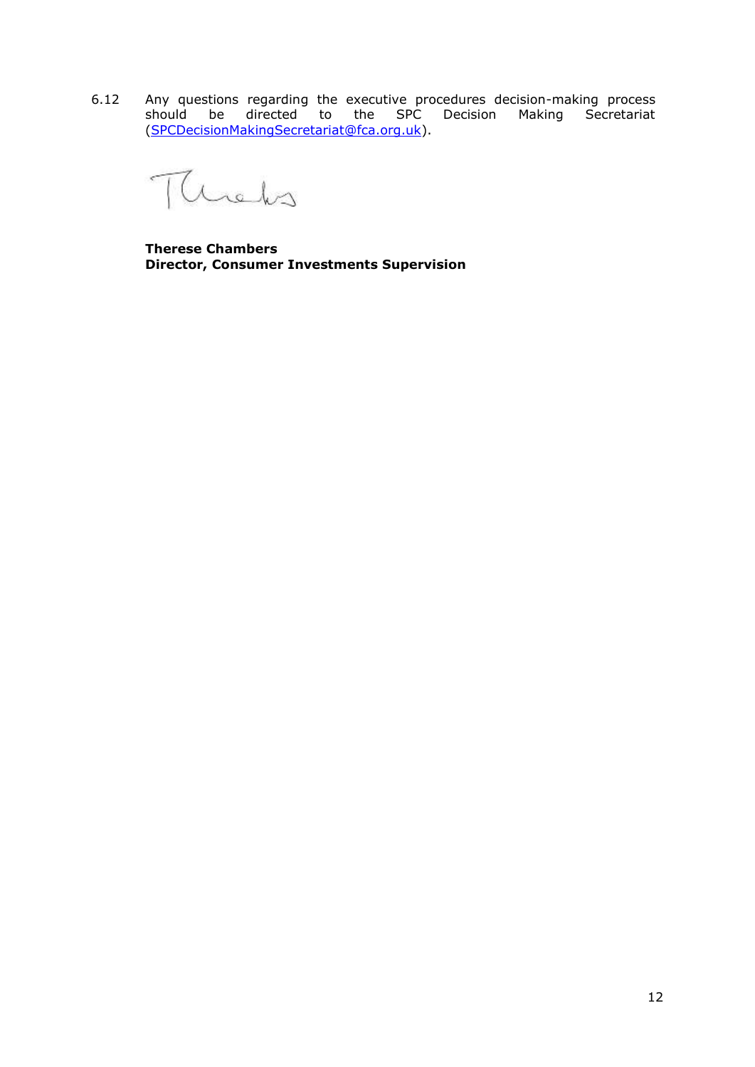6.12 Any questions regarding the executive procedures decision-making process should be directed to the SPC Decision Making Secretariat (SPCDecisionMakingSecretariat@fca.org.uk).

heks

**Therese Chambers Director, Consumer Investments Supervision**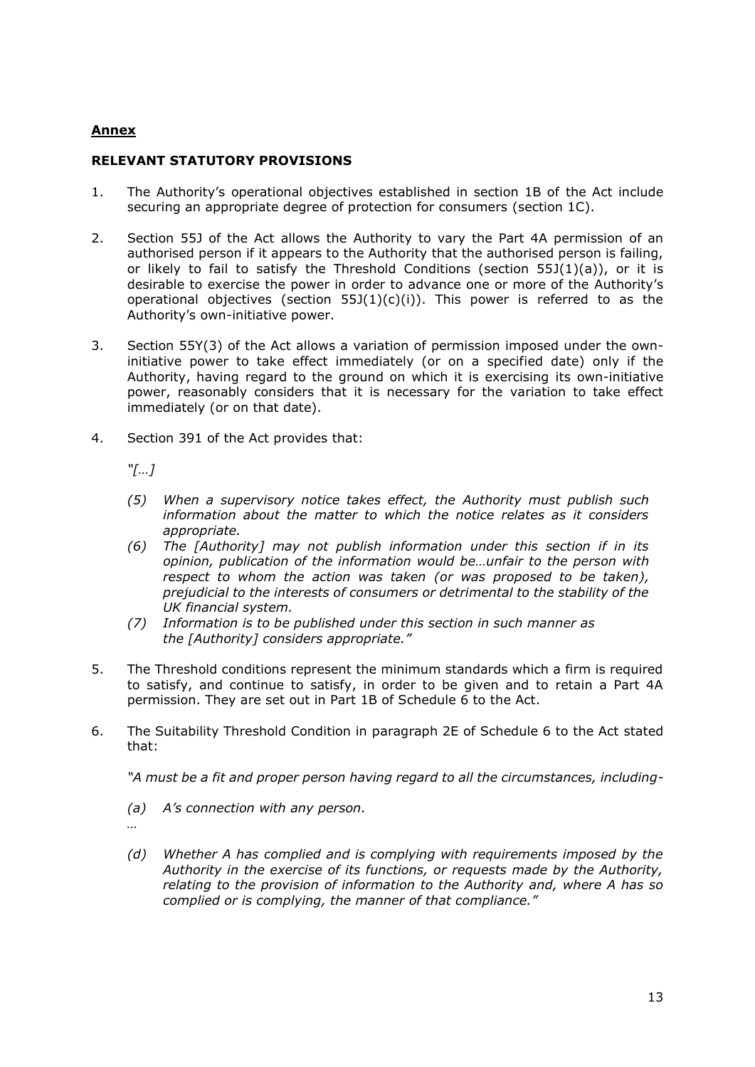# **Annex**

## **RELEVANT STATUTORY PROVISIONS**

- 1. The Authority's operational objectives established in section 1B of the Act include securing an appropriate degree of protection for consumers (section 1C).
- 2. Section 55J of the Act allows the Authority to vary the Part 4A permission of an authorised person if it appears to the Authority that the authorised person is failing, or likely to fail to satisfy the Threshold Conditions (section  $55J(1)(a)$ ), or it is desirable to exercise the power in order to advance one or more of the Authority's operational objectives (section  $55J(1)(c)(i)$ ). This power is referred to as the Authority's own-initiative power.
- 3. Section 55Y(3) of the Act allows a variation of permission imposed under the own- initiative power to take effect immediately (or on a specified date) only if the Authority, having regard to the ground on which it is exercising its own-initiative power, reasonably considers that it is necessary for the variation to take effect immediately (or on that date).
- 4. Section 391 of the Act provides that:

*"[…]*

- *information about the matter to which the notice relates as it considers (5) When a supervisory notice takes effect, the Authority must publish such appropriate.*
- *(6) The [Authority] may not publish information under this section if in its opinion, publication of the information would be…unfair to the person with respect to whom the action was taken (or was proposed to be taken), prejudicial to the interests of consumers or detrimental to the stability of the UK financial system.*
- *(7) Information is to be published under this section in such manner as the [Authority] considers appropriate."*
- to satisfy, and continue to satisfy, in order to be given and to retain a Part 4A 5. The Threshold conditions represent the minimum standards which a firm is required permission. They are set out in Part 1B of Schedule 6 to the Act.
- 6. The Suitability Threshold Condition in paragraph 2E of Schedule 6 to the Act stated that:

 *"A must be a fit and proper person having regard to all the circumstances, including-*

*(a) A's connection with any person.* 

*…*

 *(d) Whether A has complied and is complying with requirements imposed by the Authority in the exercise of its functions, or requests made by the Authority, relating to the provision of information to the Authority and, where A has so complied or is complying, the manner of that compliance."*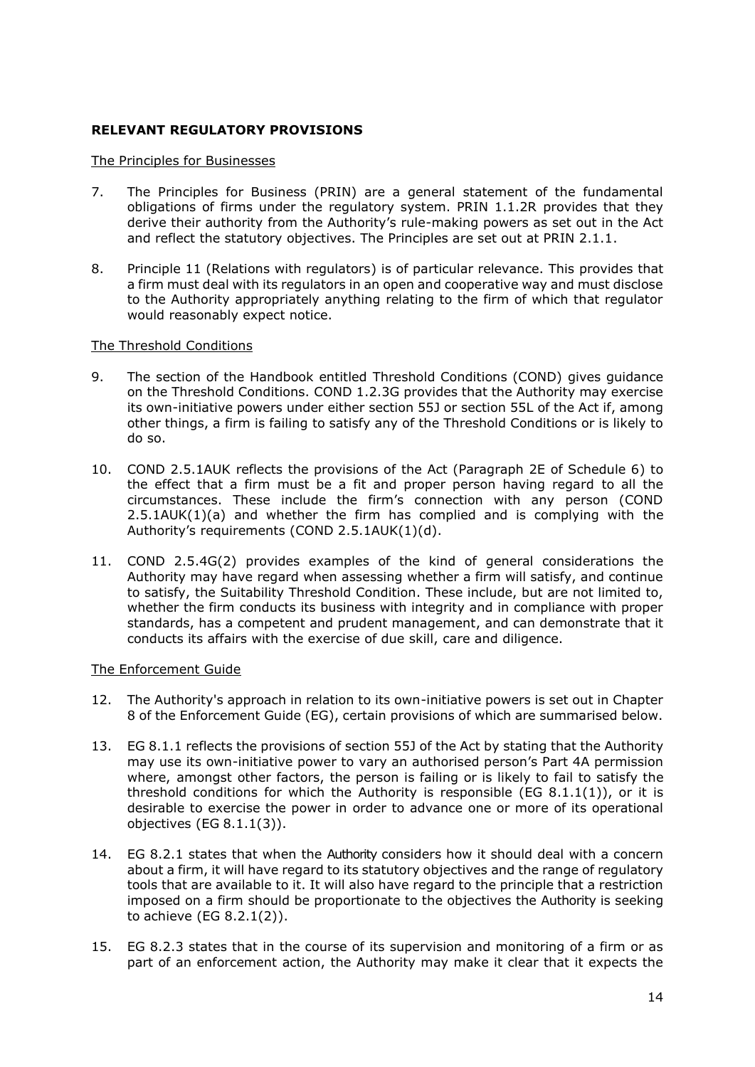# **RELEVANT REGULATORY PROVISIONS**

### The Principles for Businesses

- 7. The Principles for Business (PRIN) are a general statement of the fundamental obligations of firms under the regulatory system. PRIN 1.1.2R provides that they derive their authority from the Authority's rule-making powers as set out in the Act and reflect the statutory objectives. The Principles are set out at PRIN 2.1.1.
- 8. Principle 11 (Relations with regulators) is of particular relevance. This provides that a firm must deal with its regulators in an open and cooperative way and must disclose to the Authority appropriately anything relating to the firm of which that regulator would reasonably expect notice.

### The Threshold Conditions

- 9. The section of the Handbook entitled Threshold Conditions (COND) gives guidance on the Threshold Conditions. COND 1.2.3G provides that the Authority may exercise its own-initiative powers under either section 55J or section 55L of the Act if, among other things, a firm is failing to satisfy any of the Threshold Conditions or is likely to do so.
- 10. COND 2.5.1AUK reflects the provisions of the Act (Paragraph 2E of Schedule 6) to the effect that a firm must be a fit and proper person having regard to all the circumstances. These include the firm's connection with any person (COND 2.5.1AUK(1)(a) and whether the firm has complied and is complying with the Authority's requirements (COND 2.5.1AUK(1)(d).
- 11. COND 2.5.4G(2) provides examples of the kind of general considerations the to satisfy, the Suitability Threshold Condition. These include, but are not limited to, whether the firm conducts its business with integrity and in compliance with proper Authority may have regard when assessing whether a firm will satisfy, and continue standards, has a competent and prudent management, and can demonstrate that it conducts its affairs with the exercise of due skill, care and diligence.

### The Enforcement Guide

- 12. The Authority's approach in relation to its own-initiative powers is set out in Chapter 8 of the Enforcement Guide (EG), certain provisions of which are summarised below.
- 13. EG 8.1.1 reflects the provisions of section 55J of the Act by stating that the Authority may use its own-initiative power to vary an authorised person's Part 4A permission threshold conditions for which the Authority is responsible (EG 8.1.1(1)), or it is desirable to exercise the power in order to advance one or more of its operational where, amongst other factors, the person is failing or is likely to fail to satisfy the objectives (EG 8.1.1(3)).
- about a firm, it will have regard to its statutory objectives and the range of regulatory tools that are available to it. It will also have regard to the principle that a restriction 14. EG 8.2.1 states that when the Authority considers how it should deal with a concern imposed on a firm should be proportionate to the objectives the Authority is seeking to achieve (EG 8.2.1(2)).
- 15. EG 8.2.3 states that in the course of its supervision and monitoring of a firm or as part of an enforcement action, the Authority may make it clear that it expects the